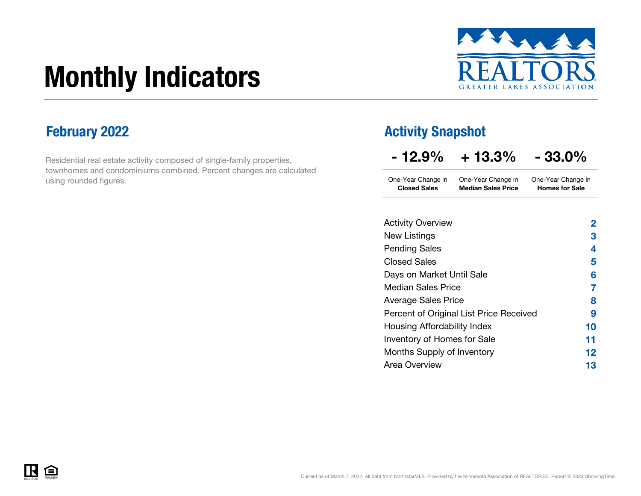# Monthly Indicators



Homes for Sale

Residential real estate activity composed of single-family properties, townhomes and condominiums combined. Percent changes are calculated using rounded figures.

### February 2022 **Activity Snapshot**

Closed Sales Median Sales Price

| $-12.9%$           | $+13.3%$           | $-33.0\%$          |
|--------------------|--------------------|--------------------|
| One-Year Change in | One-Year Change in | One-Year Change in |

| 2       |
|---------|
| З       |
| 4       |
| 5       |
| 6       |
| 7       |
| 8       |
| 9       |
| 10      |
| 11      |
| $12 \,$ |
| 13      |
|         |

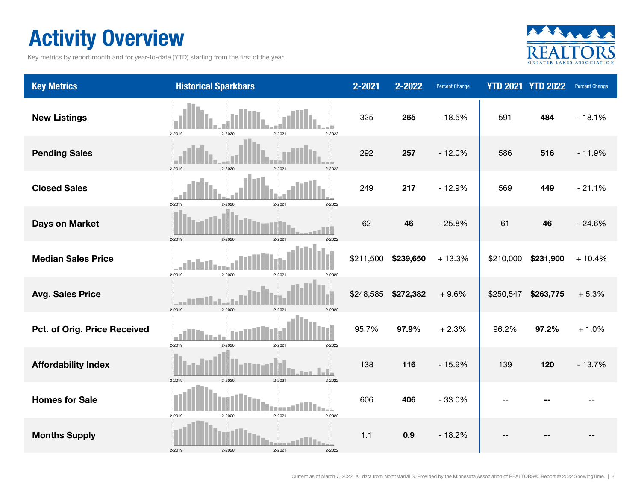### Activity Overview

Key metrics by report month and for year-to-date (YTD) starting from the first of the year.



| <b>Key Metrics</b>           | <b>Historical Sparkbars</b>                      | 2-2021    | 2-2022    | Percent Change |           | <b>YTD 2021 YTD 2022</b> | <b>Percent Change</b> |
|------------------------------|--------------------------------------------------|-----------|-----------|----------------|-----------|--------------------------|-----------------------|
| <b>New Listings</b>          | 2-2019<br>2-2020<br>2-2021<br>2-2022             | 325       | 265       | $-18.5%$       | 591       | 484                      | $-18.1%$              |
| <b>Pending Sales</b>         | $2 - 2020$<br>$2 - 2021$<br>$2 - 2019$<br>2-2022 | 292       | 257       | $-12.0%$       | 586       | 516                      | $-11.9%$              |
| <b>Closed Sales</b>          | 2-2019<br>2-2020<br>2-2021<br>2-2022             | 249       | 217       | $-12.9%$       | 569       | 449                      | $-21.1%$              |
| <b>Days on Market</b>        | 2-2019<br>2-2020<br>$2 - 2021$<br>2-2022         | 62        | 46        | $-25.8%$       | 61        | 46                       | $-24.6%$              |
| <b>Median Sales Price</b>    | 2-2019<br>2-2020<br>2-2021<br>2-2022             | \$211,500 | \$239,650 | $+13.3%$       | \$210,000 | \$231,900                | $+10.4%$              |
| <b>Avg. Sales Price</b>      | 2-2019<br>$2 - 2021$<br>2-2022<br>2-2021         | \$248,585 | \$272,382 | $+9.6%$        | \$250,547 | \$263,775                | $+5.3%$               |
| Pct. of Orig. Price Received | 2-2019<br>2-2020<br>2-2021<br>2-2022             | 95.7%     | 97.9%     | $+2.3%$        | 96.2%     | 97.2%                    | $+1.0%$               |
| <b>Affordability Index</b>   | $2 - 2020$<br>2-2019<br>$2 - 2021$<br>2-2022     | 138       | 116       | $-15.9%$       | 139       | 120                      | $-13.7%$              |
| <b>Homes for Sale</b>        | 2-2019<br>2-2020<br>2-2021<br>2-2022             | 606       | 406       | $-33.0%$       |           |                          |                       |
| <b>Months Supply</b>         | 2-2019<br>2-2020<br>2-2021<br>2-2022             | $1.1$     | 0.9       | $-18.2%$       |           |                          |                       |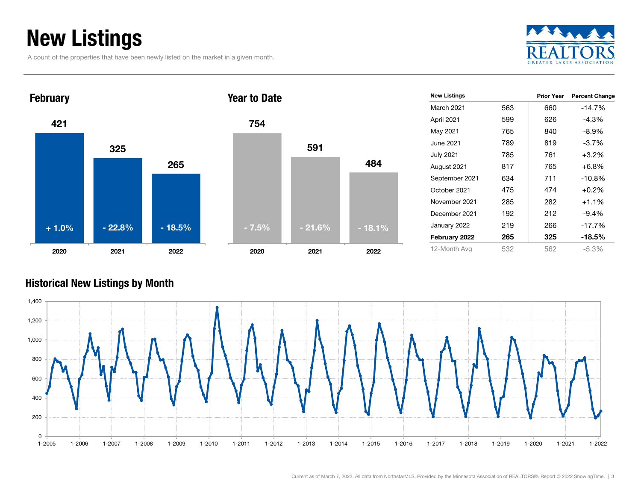### New Listings

A count of the properties that have been newly listed on the market in a given month.





| 754     |          |          |
|---------|----------|----------|
|         | 591      |          |
|         |          | 484      |
|         |          |          |
|         |          |          |
| $-7.5%$ | $-21.6%$ | $-18.1%$ |
| 2020    | 2021     | 2022     |

| <b>New Listings</b> |     | <b>Prior Year</b> | <b>Percent Change</b> |
|---------------------|-----|-------------------|-----------------------|
| March 2021          | 563 | 660               | -14.7%                |
| April 2021          | 599 | 626               | $-4.3%$               |
| May 2021            | 765 | 840               | $-8.9\%$              |
| June 2021           | 789 | 819               | $-3.7%$               |
| <b>July 2021</b>    | 785 | 761               | $+3.2%$               |
| August 2021         | 817 | 765               | $+6.8%$               |
| September 2021      | 634 | 711               | $-10.8%$              |
| October 2021        | 475 | 474               | $+0.2%$               |
| November 2021       | 285 | 282               | $+1.1%$               |
| December 2021       | 192 | 212               | $-9.4%$               |
| January 2022        | 219 | 266               | $-17.7%$              |
| February 2022       | 265 | 325               | $-18.5%$              |
| 12-Month Avg        | 532 | 562               | $-5.3%$               |

#### Historical New Listings by Month

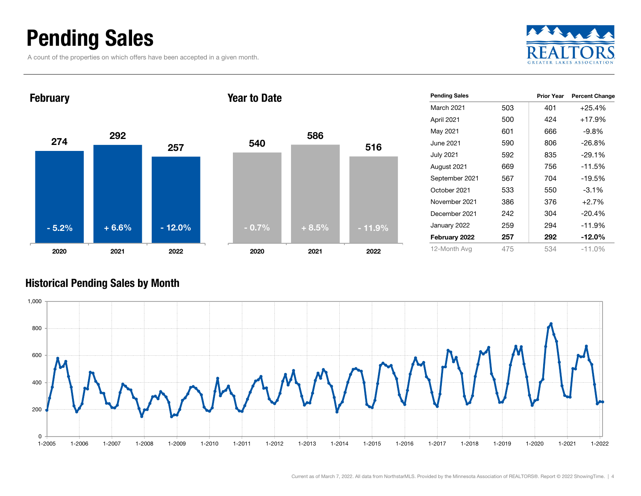### Pending Sales

A count of the properties on which offers have been accepted in a given month.





|                      |     | <b>Prior Year</b> |                       |
|----------------------|-----|-------------------|-----------------------|
| <b>Pending Sales</b> |     |                   | <b>Percent Change</b> |
| <b>March 2021</b>    | 503 | 401               | $+25.4%$              |
| April 2021           | 500 | 424               | $+17.9%$              |
| May 2021             | 601 | 666               | -9.8%                 |
| June 2021            | 590 | 806               | $-26.8%$              |
| <b>July 2021</b>     | 592 | 835               | $-29.1%$              |
| August 2021          | 669 | 756               | $-11.5%$              |
| September 2021       | 567 | 704               | $-19.5%$              |
| October 2021         | 533 | 550               | $-3.1\%$              |
| November 2021        | 386 | 376               | $+2.7%$               |
| December 2021        | 242 | 304               | $-20.4%$              |
| January 2022         | 259 | 294               | $-11.9%$              |
| February 2022        | 257 | 292               | $-12.0\%$             |
| 12-Month Avg         | 475 | 534               | $-11.0\%$             |

#### Historical Pending Sales by Month

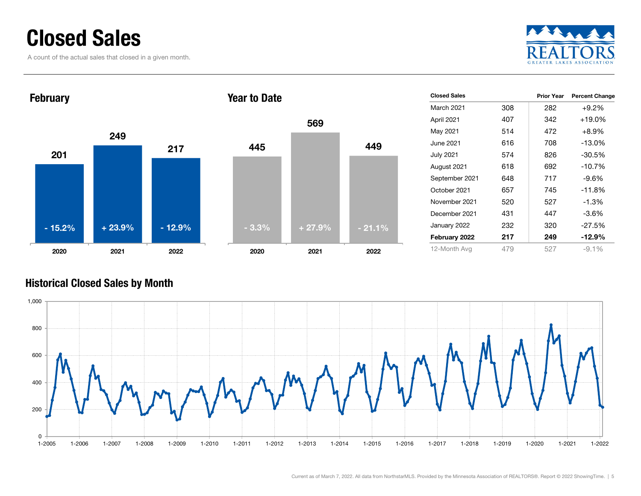### Closed Sales

A count of the actual sales that closed in a given month.





#### Historical Closed Sales by Month

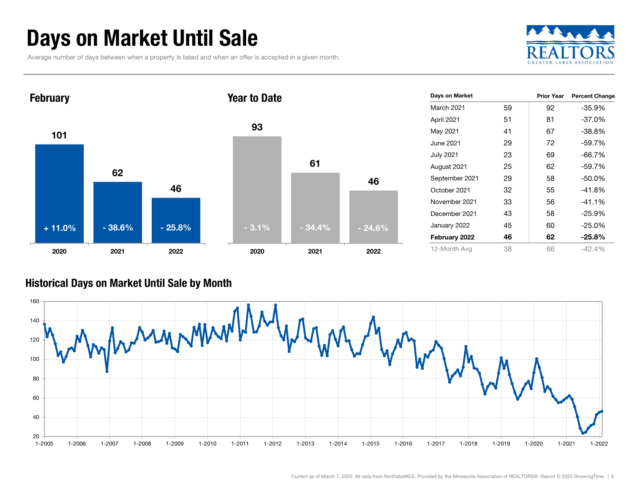### Days on Market Until Sale

Average number of days between when a property is listed and when an offer is accepted in a given month.





#### Historical Days on Market Until Sale by Month

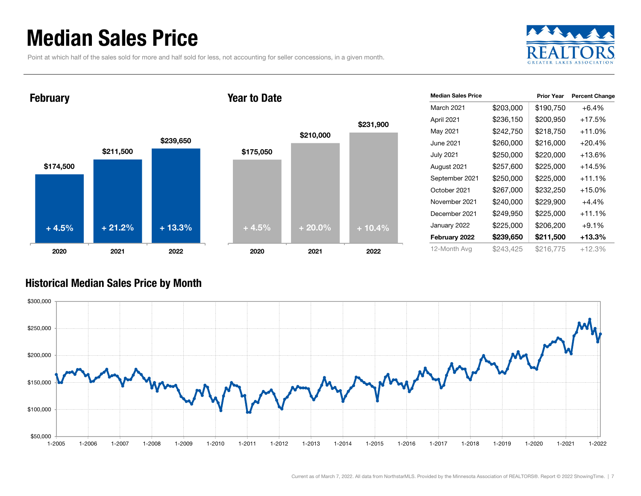### Median Sales Price

Point at which half of the sales sold for more and half sold for less, not accounting for seller concessions, in a given month.



\$174,500 \$211,500 February

2020

+ 4.5%



Year to Date

2020

 $+ 21.2\%$  + 13.3% + 20.0% + 20.0% + 10.4%

| <b>Median Sales Price</b> |           | <b>Prior Year</b> | <b>Percent Change</b> |
|---------------------------|-----------|-------------------|-----------------------|
| March 2021                | \$203,000 | \$190,750         | $+6.4%$               |
| April 2021                | \$236,150 | \$200,950         | +17.5%                |
| May 2021                  | \$242,750 | \$218,750         | +11.0%                |
| June 2021                 | \$260,000 | \$216,000         | +20.4%                |
| July 2021                 | \$250,000 | \$220,000         | +13.6%                |
| August 2021               | \$257,600 | \$225,000         | +14.5%                |
| September 2021            | \$250,000 | \$225,000         | +11.1%                |
| October 2021              | \$267,000 | \$232,250         | +15.0%                |
| November 2021             | \$240,000 | \$229,900         | $+4.4%$               |
| December 2021             | \$249,950 | \$225,000         | $+11.1%$              |
| January 2022              | \$225,000 | \$206,200         | $+9.1%$               |
| February 2022             | \$239,650 | \$211,500         | +13.3%                |
| 12-Month Avg              | \$243,425 | \$216,775         | $+12.3%$              |

#### Historical Median Sales Price by Month

2021 2022



2021 2022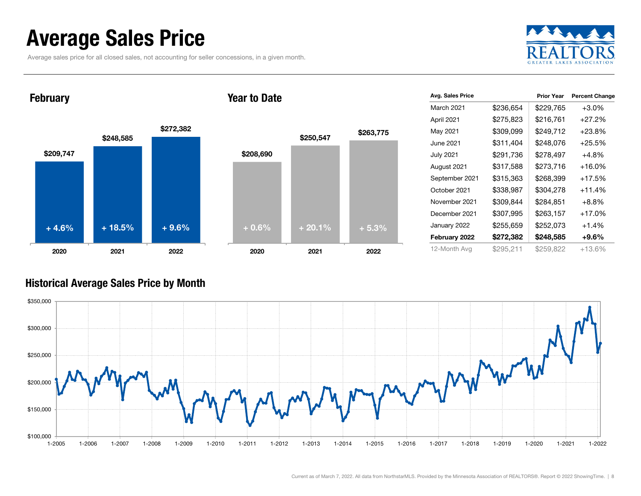### Average Sales Price

Average sales price for all closed sales, not accounting for seller concessions, in a given month.



February

#### Year to Date



| Avg. Sales Price |           | <b>Prior Year</b> | <b>Percent Change</b> |
|------------------|-----------|-------------------|-----------------------|
| March 2021       | \$236,654 | \$229,765         | $+3.0%$               |
| April 2021       | \$275,823 | \$216,761         | $+27.2%$              |
| May 2021         | \$309,099 | \$249,712         | $+23.8\%$             |
| June 2021        | \$311,404 | \$248,076         | $+25.5%$              |
| <b>July 2021</b> | \$291,736 | \$278,497         | +4.8%                 |
| August 2021      | \$317,588 | \$273,716         | $+16.0%$              |
| September 2021   | \$315,363 | \$268,399         | $+17.5%$              |
| October 2021     | \$338,987 | \$304,278         | $+11.4%$              |
| November 2021    | \$309,844 | \$284,851         | $+8.8\%$              |
| December 2021    | \$307,995 | \$263,157         | $+17.0%$              |
| January 2022     | \$255,659 | \$252,073         | $+1.4%$               |
| February 2022    | \$272,382 | \$248,585         | $+9.6%$               |
| 12-Month Avg     | \$295,211 | \$259,822         | +13.6%                |

#### Historical Average Sales Price by Month

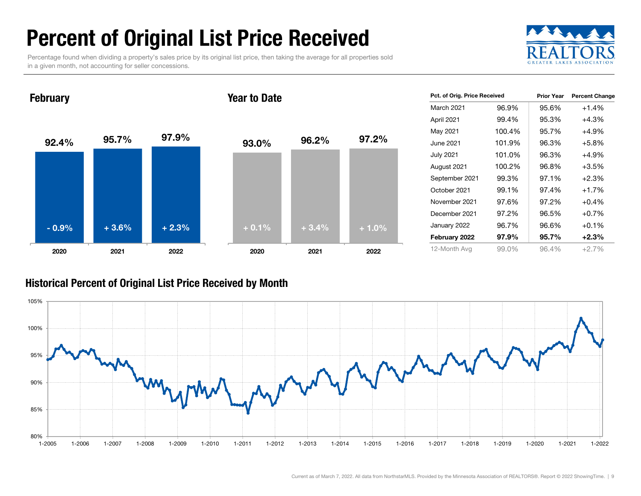### Percent of Original List Price Received

Percentage found when dividing a property's sales price by its original list price, then taking the average for all properties sold in a given month, not accounting for seller concessions.



92.4% 95.7% 97.9% 2020 2021 2022 **February** 93.0% 96.2% 97.2% 2020 2021 2022 Year to Date- 0.9% $\%$  + 3.6% + 2.3% + 0.1% + 3.4% + 1.0%

| Pct. of Orig. Price Received |        | <b>Prior Year</b> | <b>Percent Change</b> |
|------------------------------|--------|-------------------|-----------------------|
| March 2021                   | 96.9%  | 95.6%             | $+1.4%$               |
| April 2021                   | 99.4%  | 95.3%             | +4.3%                 |
| May 2021                     | 100.4% | 95.7%             | $+4.9%$               |
| June 2021                    | 101.9% | 96.3%             | $+5.8%$               |
| July 2021                    | 101.0% | 96.3%             | +4.9%                 |
| August 2021                  | 100.2% | 96.8%             | $+3.5%$               |
| September 2021               | 99.3%  | 97.1%             | $+2.3%$               |
| October 2021                 | 99.1%  | 97.4%             | $+1.7%$               |
| November 2021                | 97.6%  | 97.2%             | $+0.4%$               |
| December 2021                | 97.2%  | 96.5%             | $+0.7%$               |
| January 2022                 | 96.7%  | 96.6%             | $+0.1%$               |
| February 2022                | 97.9%  | 95.7%             | $+2.3%$               |
| 12-Month Avg                 | 99.0%  | 96.4%             | $+2.7%$               |

#### Historical Percent of Original List Price Received by Month

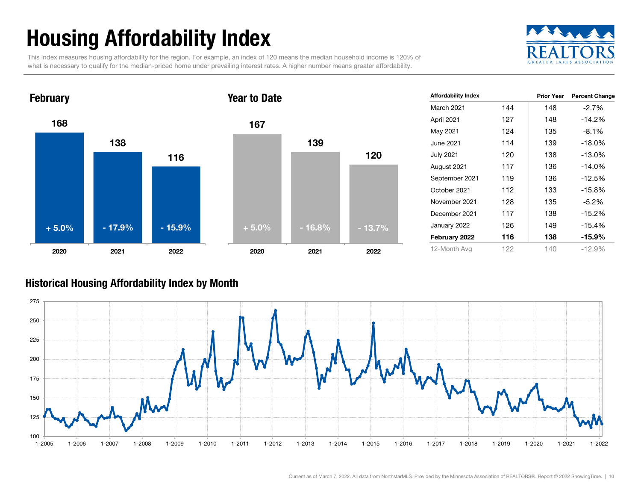## Housing Affordability Index

This index measures housing affordability for the region. For example, an index of 120 means the median household income is 120% of what is necessary to qualify for the median-priced home under prevailing interest rates. A higher number means greater affordability.





| <b>Affordability Index</b> |     | <b>Prior Year</b> | <b>Percent Change</b> |
|----------------------------|-----|-------------------|-----------------------|
| <b>March 2021</b>          | 144 | 148               | $-2.7\%$              |
| April 2021                 | 127 | 148               | $-14.2%$              |
| May 2021                   | 124 | 135               | $-8.1\%$              |
| June 2021                  | 114 | 139               | $-18.0%$              |
| <b>July 2021</b>           | 120 | 138               | $-13.0%$              |
| August 2021                | 117 | 136               | $-14.0%$              |
| September 2021             | 119 | 136               | $-12.5%$              |
| October 2021               | 112 | 133               | $-15.8%$              |
| November 2021              | 128 | 135               | $-5.2%$               |
| December 2021              | 117 | 138               | $-15.2%$              |
| January 2022               | 126 | 149               | $-15.4%$              |
| February 2022              | 116 | 138               | -15.9%                |
| 12-Month Avg               | 122 | 140               | $-12.9%$              |

#### Historical Housing Affordability Index by Mont h

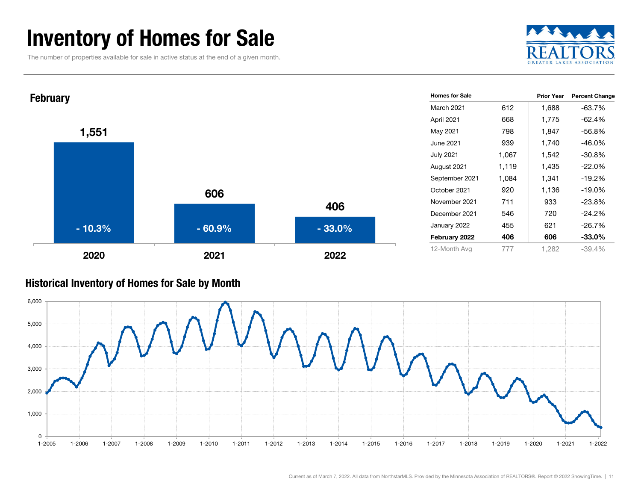### Inventory of Homes for Sale

The number of properties available for sale in active status at the end of a given month.





#### Historical Inventory of Homes for Sale by Month

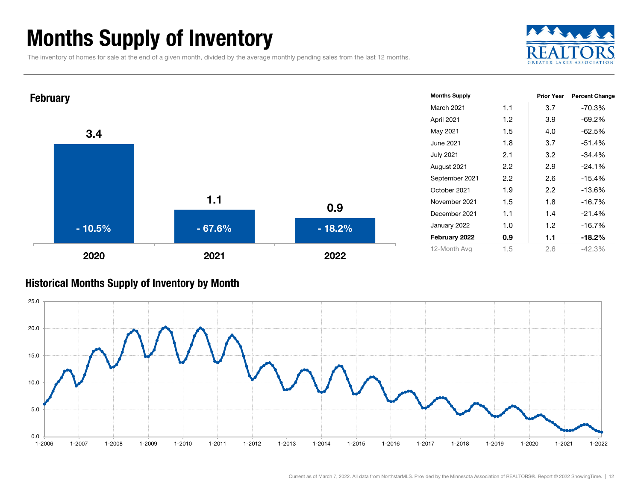### Months Supply of Inventory

The inventory of homes for sale at the end of a given month, divided by the average monthly pending sales from the last 12 months.





#### Historical Months Supply of Inventory by Month